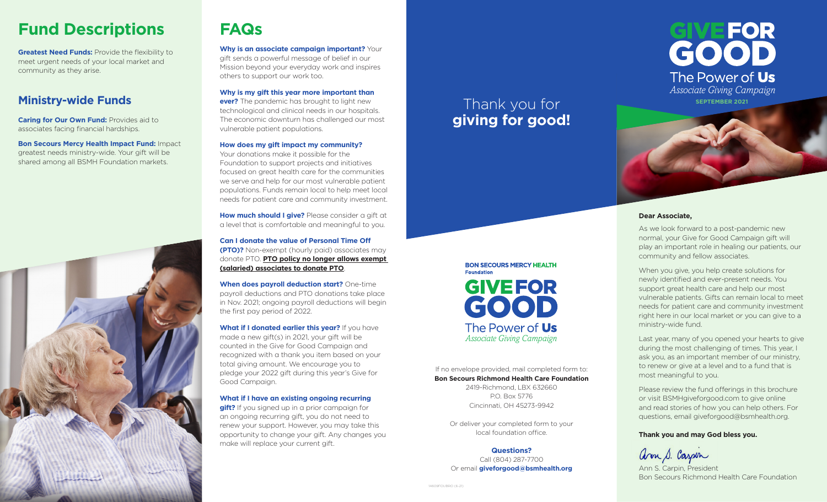# **Fund Descriptions**

**Greatest Need Funds: Provide the flexibility to** meet urgent needs of your local market and community as they arise.

## **Ministry-wide Funds**

**Caring for Our Own Fund: Provides aid to** associates facing financial hardships.

**Bon Secours Mercy Health Impact Fund:** Impact greatest needs ministry-wide. Your gift will be shared among all BSMH Foundation markets.



# **FAQs**

**Why is an associate campaign important?** Your gift sends a powerful message of belief in our Mission beyond your everyday work and inspires others to support our work too.

**Why is my gift this year more important than ever?** The pandemic has brought to light new technological and clinical needs in our hospitals. The economic downturn has challenged our most vulnerable patient populations.

#### **How does my gift impact my community?**

Your donations make it possible for the Foundation to support projects and initiatives focused on great health care for the communities we serve and help for our most vulnerable patient populations. Funds remain local to help meet local needs for patient care and community investment.

**How much should I give?** Please consider a gift at a level that is comfortable and meaningful to you.

**Can I donate the value of Personal Time Off (PTO)?** Non-exempt (hourly paid) associates may donate PTO. **PTO policy no longer allows exempt (salaried) associates to donate PTO**.

**When does payroll deduction start?** One-time payroll deductions and PTO donations take place in Nov. 2021; ongoing payroll deductions will begin the first pay period of 2022.

**What if I donated earlier this year?** If you have made a new gift(s) in 2021, your gift will be counted in the Give for Good Campaign and recognized with a thank you item based on your total giving amount. We encourage you to pledge your 2022 gift during this year's Give for Good Campaign.

#### **What if I have an existing ongoing recurring**

**gift?** If you signed up in a prior campaign for an ongoing recurring gift, you do not need to renew your support. However, you may take this opportunity to change your gift. Any changes you make will replace your current gift.

# Thank you for **giving for good!**



#### **Dear Associate,**

As we look forward to a post-pandemic new normal, your Give for Good Campaign gift will play an important role in healing our patients, our community and fellow associates.

When you give, you help create solutions for newly identified and ever-present needs. You support great health care and help our most vulnerable patients. Gifts can remain local to meet needs for patient care and community investment right here in our local market or you can give to a ministry-wide fund.

Last year, many of you opened your hearts to give during the most challenging of times. This year, I ask you, as an important member of our ministry, to renew or give at a level and to a fund that is most meaningful to you.

Please review the fund offerings in this brochure or visit BSMHgiveforgood.com to give online and read stories of how you can help others. For questions, email giveforgood@bsmhealth.org.

#### **Thank you and may God bless you.**

arm S. Carpin

Ann S. Carpin, President Bon Secours Richmond Health Care Foundation

**BON SECOURS MERCY HEALTH Foundation GIVEFOR** GOOD The Power of Us *Associate Giving Campaign*

If no envelope provided, mail completed form to: **Bon Secours Richmond Health Care Foundation** 2419-Richmond, LBX 632660

P.O. Box 5776 Cincinnati, OH 45273-9942

Or deliver your completed form to your local foundation office.

#### **Questions?**

Call (804) 287-7700 Or email **giveforgood@bsmhealth.org**